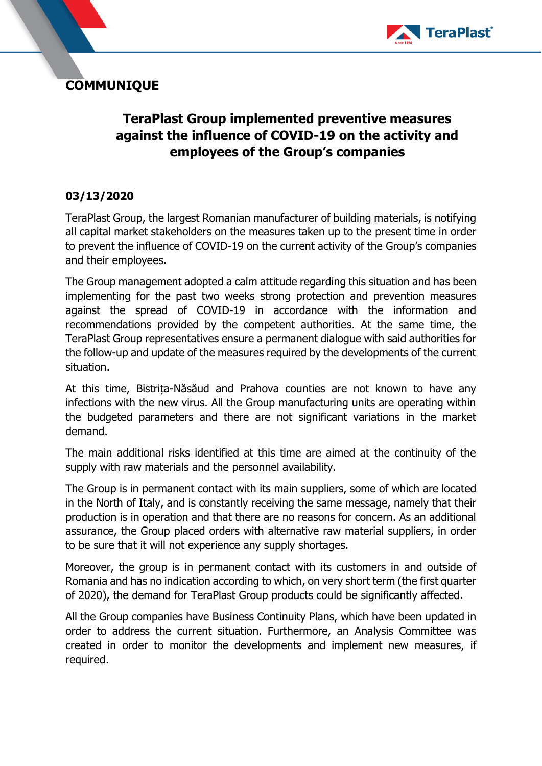

## **COMMUNIQUE**

## **TeraPlast Group implemented preventive measures against the influence of COVID-19 on the activity and employees of the Group's companies**

## **03/13/2020**

TeraPlast Group, the largest Romanian manufacturer of building materials, is notifying all capital market stakeholders on the measures taken up to the present time in order to prevent the influence of COVID-19 on the current activity of the Group's companies and their employees.

The Group management adopted a calm attitude regarding this situation and has been implementing for the past two weeks strong protection and prevention measures against the spread of COVID-19 in accordance with the information and recommendations provided by the competent authorities. At the same time, the TeraPlast Group representatives ensure a permanent dialogue with said authorities for the follow-up and update of the measures required by the developments of the current situation.

At this time, Bistrița-Năsăud and Prahova counties are not known to have any infections with the new virus. All the Group manufacturing units are operating within the budgeted parameters and there are not significant variations in the market demand.

The main additional risks identified at this time are aimed at the continuity of the supply with raw materials and the personnel availability.

The Group is in permanent contact with its main suppliers, some of which are located in the North of Italy, and is constantly receiving the same message, namely that their production is in operation and that there are no reasons for concern. As an additional assurance, the Group placed orders with alternative raw material suppliers, in order to be sure that it will not experience any supply shortages.

Moreover, the group is in permanent contact with its customers in and outside of Romania and has no indication according to which, on very short term (the first quarter of 2020), the demand for TeraPlast Group products could be significantly affected.

All the Group companies have Business Continuity Plans, which have been updated in order to address the current situation. Furthermore, an Analysis Committee was created in order to monitor the developments and implement new measures, if required.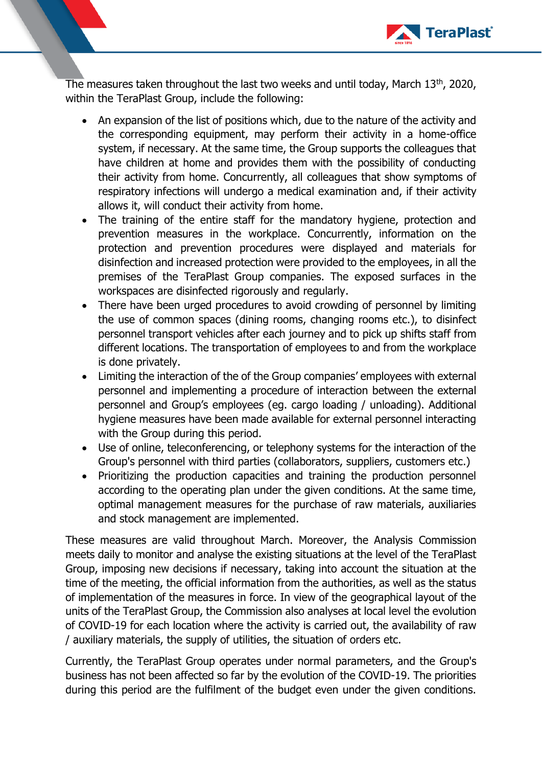

The measures taken throughout the last two weeks and until today, March 13<sup>th</sup>, 2020, within the TeraPlast Group, include the following:

- An expansion of the list of positions which, due to the nature of the activity and the corresponding equipment, may perform their activity in a home-office system, if necessary. At the same time, the Group supports the colleagues that have children at home and provides them with the possibility of conducting their activity from home. Concurrently, all colleagues that show symptoms of respiratory infections will undergo a medical examination and, if their activity allows it, will conduct their activity from home.
- The training of the entire staff for the mandatory hygiene, protection and prevention measures in the workplace. Concurrently, information on the protection and prevention procedures were displayed and materials for disinfection and increased protection were provided to the employees, in all the premises of the TeraPlast Group companies. The exposed surfaces in the workspaces are disinfected rigorously and regularly.
- There have been urged procedures to avoid crowding of personnel by limiting the use of common spaces (dining rooms, changing rooms etc.), to disinfect personnel transport vehicles after each journey and to pick up shifts staff from different locations. The transportation of employees to and from the workplace is done privately.
- Limiting the interaction of the of the Group companies' employees with external personnel and implementing a procedure of interaction between the external personnel and Group's employees (eg. cargo loading / unloading). Additional hygiene measures have been made available for external personnel interacting with the Group during this period.
- Use of online, teleconferencing, or telephony systems for the interaction of the Group's personnel with third parties (collaborators, suppliers, customers etc.)
- Prioritizing the production capacities and training the production personnel according to the operating plan under the given conditions. At the same time, optimal management measures for the purchase of raw materials, auxiliaries and stock management are implemented.

These measures are valid throughout March. Moreover, the Analysis Commission meets daily to monitor and analyse the existing situations at the level of the TeraPlast Group, imposing new decisions if necessary, taking into account the situation at the time of the meeting, the official information from the authorities, as well as the status of implementation of the measures in force. In view of the geographical layout of the units of the TeraPlast Group, the Commission also analyses at local level the evolution of COVID-19 for each location where the activity is carried out, the availability of raw / auxiliary materials, the supply of utilities, the situation of orders etc.

Currently, the TeraPlast Group operates under normal parameters, and the Group's business has not been affected so far by the evolution of the COVID-19. The priorities during this period are the fulfilment of the budget even under the given conditions.